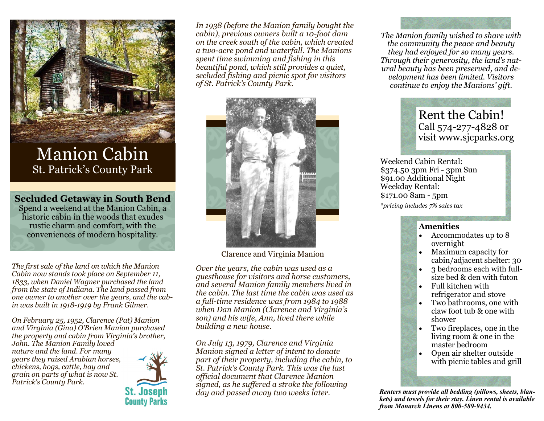

## Manion Cabin St. Patrick's County Park

**Secluded Getaway in South Bend**

Spend a weekend at the Manion Cabin, a historic cabin in the woods that exudes rustic charm and comfort, with the conveniences of modern hospitality.

*The first sale of the land on which the Manion Cabin now stands took place on September 11, 1833, when Daniel Wagner purchased the land from the state of Indiana. The land passed from one owner to another over the years, and the cabin was built in 1918-1919 by Frank Gilmer.*

*On February 25, 1952, Clarence (Pat) Manion and Virginia (Gina) O'Brien Manion purchased the property and cabin from Virginia's brother, John. The Manion Family loved nature and the land. For many years they raised Arabian horses, chickens, hogs, cattle, hay and grain on parts of what is now St. Patrick's County Park.*



*In 1938 (before the Manion family bought the cabin), previous owners built a 10-foot dam on the creek south of the cabin, which created a two-acre pond and waterfall. The Manions spent time swimming and fishing in this beautiful pond, which still provides a quiet, secluded fishing and picnic spot for visitors of St. Patrick's County Park.*



Clarence and Virginia Manion

*Over the years, the cabin was used as a guesthouse for visitors and horse customers, and several Manion family members lived in the cabin. The last time the cabin was used as a full-time residence was from 1984 to 1988 when Dan Manion (Clarence and Virginia's son) and his wife, Ann, lived there while building a new house.*

*On July 13, 1979, Clarence and Virginia Manion signed a letter of intent to donate part of their property, including the cabin, to St. Patrick's County Park. This was the last official document that Clarence Manion signed, as he suffered a stroke the following day and passed away two weeks later.*

*The Manion family wished to share with the community the peace and beauty they had enjoyed for so many years. Through their generosity, the land's natural beauty has been preserved, and development has been limited. Visitors continue to enjoy the Manions' gift.*

## Rent the Cabin! Call 574-277-4828 or visit www.sjcparks.org

Weekend Cabin Rental: \$374.50 3pm Fri - 3pm Sun \$91.00 Additional Night Weekday Rental: \$171.00 8am - 5pm *\*pricing includes 7% sales tax*

## **Amenities**

- Accommodates up to 8 overnight
- Maximum capacity for cabin/adjacent shelter: 30
- 3 bedrooms each with fullsize bed & den with futon
- Full kitchen with refrigerator and stove
- Two bathrooms, one with claw foot tub & one with shower
- Two fireplaces, one in the living room & one in the master bedroom
- Open air shelter outside with picnic tables and grill

*Renters must provide all bedding (pillows, sheets, blankets) and towels for their stay. Linen rental is available from Monarch Linens at 800-589-9434.*